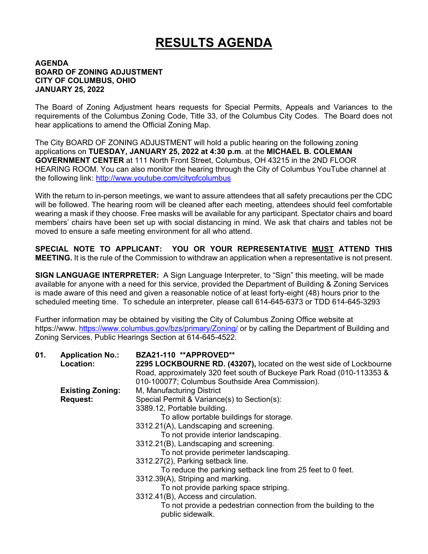## **RESULTS AGENDA**

## **AGENDA BOARD OF ZONING ADJUSTMENT CITY OF COLUMBUS, OHIO JANUARY 25, 2022**

The Board of Zoning Adjustment hears requests for Special Permits, Appeals and Variances to the requirements of the Columbus Zoning Code, Title 33, of the Columbus City Codes. The Board does not hear applications to amend the Official Zoning Map.

The City BOARD OF ZONING ADJUSTMENT will hold a public hearing on the following zoning applications on **TUESDAY, JANUARY 25, 2022 at 4:30 p.m**. at the **MICHAEL B. COLEMAN GOVERNMENT CENTER** at 111 North Front Street, Columbus, OH 43215 in the 2ND FLOOR HEARING ROOM. You can also monitor the hearing through the City of Columbus YouTube channel at the following link: http://www.youtube.com/cityofcolumbus

With the return to in-person meetings, we want to assure attendees that all safety precautions per the CDC will be followed. The hearing room will be cleaned after each meeting, attendees should feel comfortable wearing a mask if they choose. Free masks will be available for any participant. Spectator chairs and board members' chairs have been set up with social distancing in mind. We ask that chairs and tables not be moved to ensure a safe meeting environment for all who attend.

**SPECIAL NOTE TO APPLICANT: YOU OR YOUR REPRESENTATIVE MUST ATTEND THIS MEETING.** It is the rule of the Commission to withdraw an application when a representative is not present.

**SIGN LANGUAGE INTERPRETER:** A Sign Language Interpreter, to "Sign" this meeting, will be made available for anyone with a need for this service, provided the Department of Building & Zoning Services is made aware of this need and given a reasonable notice of at least forty-eight (48) hours prior to the scheduled meeting time. To schedule an interpreter, please call 614-645-6373 or TDD 614-645-3293

Further information may be obtained by visiting the City of Columbus Zoning Office website at https://www. https://www.columbus.gov/bzs/primary/Zoning/ or by calling the Department of Building and Zoning Services, Public Hearings Section at 614-645-4522.

| 01. | <b>Application No.:</b> | BZA21-110 **APPROVED**                                                              |
|-----|-------------------------|-------------------------------------------------------------------------------------|
|     | Location:               | 2295 LOCKBOURNE RD. (43207), located on the west side of Lockbourne                 |
|     |                         | Road, approximately 320 feet south of Buckeye Park Road (010-113353 &               |
|     |                         | 010-100077; Columbus Southside Area Commission).                                    |
|     | <b>Existing Zoning:</b> | M, Manufacturing District                                                           |
|     | <b>Request:</b>         | Special Permit & Variance(s) to Section(s):                                         |
|     |                         | 3389.12, Portable building.                                                         |
|     |                         | To allow portable buildings for storage.                                            |
|     |                         | 3312.21(A), Landscaping and screening.                                              |
|     |                         | To not provide interior landscaping.                                                |
|     |                         | 3312.21(B), Landscaping and screening.                                              |
|     |                         | To not provide perimeter landscaping.                                               |
|     |                         | 3312.27(2), Parking setback line.                                                   |
|     |                         | To reduce the parking setback line from 25 feet to 0 feet.                          |
|     |                         | 3312.39(A), Striping and marking.                                                   |
|     |                         | To not provide parking space striping.                                              |
|     |                         | 3312.41(B), Access and circulation.                                                 |
|     |                         | To not provide a pedestrian connection from the building to the<br>public sidewalk. |
|     |                         |                                                                                     |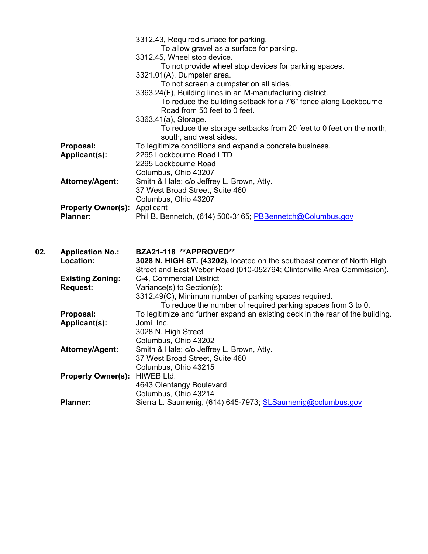|     |                                     | 3312.43, Required surface for parking.                                         |
|-----|-------------------------------------|--------------------------------------------------------------------------------|
|     |                                     | To allow gravel as a surface for parking.                                      |
|     |                                     | 3312.45, Wheel stop device.                                                    |
|     |                                     | To not provide wheel stop devices for parking spaces.                          |
|     |                                     | 3321.01(A), Dumpster area.                                                     |
|     |                                     | To not screen a dumpster on all sides.                                         |
|     |                                     | 3363.24(F), Building lines in an M-manufacturing district.                     |
|     |                                     | To reduce the building setback for a 7'6" fence along Lockbourne               |
|     |                                     | Road from 50 feet to 0 feet.                                                   |
|     |                                     | 3363.41(a), Storage.                                                           |
|     |                                     | To reduce the storage setbacks from 20 feet to 0 feet on the north,            |
|     |                                     | south, and west sides.                                                         |
|     | Proposal:                           | To legitimize conditions and expand a concrete business.                       |
|     | Applicant(s):                       | 2295 Lockbourne Road LTD                                                       |
|     |                                     | 2295 Lockbourne Road                                                           |
|     |                                     | Columbus, Ohio 43207                                                           |
|     | <b>Attorney/Agent:</b>              | Smith & Hale; c/o Jeffrey L. Brown, Atty.                                      |
|     |                                     | 37 West Broad Street, Suite 460                                                |
|     |                                     | Columbus, Ohio 43207                                                           |
|     | <b>Property Owner(s): Applicant</b> |                                                                                |
|     | <b>Planner:</b>                     | Phil B. Bennetch, (614) 500-3165; PBBennetch@Columbus.gov                      |
|     |                                     |                                                                                |
|     |                                     |                                                                                |
| 02. | <b>Application No.:</b>             | BZA21-118 **APPROVED**                                                         |
|     | Location:                           | 3028 N. HIGH ST. (43202), located on the southeast corner of North High        |
|     |                                     | Street and East Weber Road (010-052794; Clintonville Area Commission).         |
|     | <b>Existing Zoning:</b>             | C-4, Commercial District                                                       |
|     | <b>Request:</b>                     | Variance(s) to Section(s):                                                     |
|     |                                     | 3312.49(C), Minimum number of parking spaces required.                         |
|     |                                     | To reduce the number of required parking spaces from 3 to 0.                   |
|     | Proposal:                           | To legitimize and further expand an existing deck in the rear of the building. |
|     | Applicant(s):                       | Jomi, Inc.                                                                     |
|     |                                     | 3028 N. High Street                                                            |
|     |                                     | Columbus, Ohio 43202                                                           |
|     | <b>Attorney/Agent:</b>              | Smith & Hale; c/o Jeffrey L. Brown, Atty.                                      |
|     |                                     | 37 West Broad Street, Suite 460                                                |

- Columbus, Ohio 43215
- **Property Owner(s):** HIWEB Ltd. 4643 Olentangy Boulevard Columbus, Ohio 43214
	- Planner: Sierra L. Saumenig, (614) 645-7973; **SLSaumenig@columbus.gov**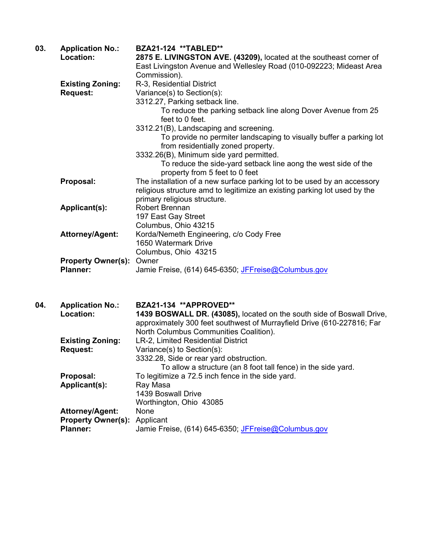| 03. | <b>Application No.:</b><br>Location:         | BZA21-124 **TABLED**<br>2875 E. LIVINGSTON AVE. (43209), located at the southeast corner of<br>East Livingston Avenue and Wellesley Road (010-092223; Mideast Area<br>Commission).                                  |
|-----|----------------------------------------------|---------------------------------------------------------------------------------------------------------------------------------------------------------------------------------------------------------------------|
|     | <b>Existing Zoning:</b><br><b>Request:</b>   | R-3, Residential District<br>Variance(s) to Section(s):<br>3312.27, Parking setback line.                                                                                                                           |
|     |                                              | To reduce the parking setback line along Dover Avenue from 25<br>feet to 0 feet.                                                                                                                                    |
|     |                                              | 3312.21(B), Landscaping and screening.<br>To provide no permiter landscaping to visually buffer a parking lot<br>from residentially zoned property.<br>3332.26(B), Minimum side yard permitted.                     |
|     |                                              | To reduce the side-yard setback line aong the west side of the<br>property from 5 feet to 0 feet                                                                                                                    |
|     | Proposal:                                    | The installation of a new surface parking lot to be used by an accessory<br>religious structure amd to legitimize an existing parking lot used by the<br>primary religious structure.                               |
|     | Applicant(s):                                | <b>Robert Brennan</b><br>197 East Gay Street<br>Columbus, Ohio 43215                                                                                                                                                |
|     | <b>Attorney/Agent:</b>                       | Korda/Nemeth Engineering, c/o Cody Free<br>1650 Watermark Drive<br>Columbus, Ohio 43215                                                                                                                             |
|     | <b>Property Owner(s):</b><br><b>Planner:</b> | Owner<br>Jamie Freise, (614) 645-6350; JFFreise@Columbus.gov                                                                                                                                                        |
| 04. | <b>Application No.:</b><br>Location:         | BZA21-134 **APPROVED**<br>1439 BOSWALL DR. (43085), located on the south side of Boswall Drive,<br>approximately 300 feet southwest of Murrayfield Drive (610-227816; Far<br>North Columbus Communities Coalition). |
|     | <b>Existing Zoning:</b>                      | LR-2, Limited Residential District                                                                                                                                                                                  |

3332.28, Side or rear yard obstruction.

**Proposal:** To legitimize a 72.5 inch fence in the side yard.

Worthington, Ohio 43085

Planner: Jamie Freise, (614) 645-6350; JFFreise@Columbus.gov

1439 Boswall Drive

To allow a structure (an 8 foot tall fence) in the side yard.

**Request:** Variance(s) to Section(s):

Applicant(s): Ray Masa

**Attorney/Agent:** None **Property Owner(s):** Applicant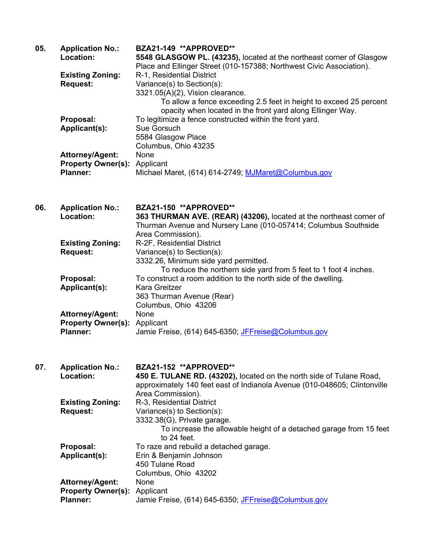| 05. | <b>Application No.:</b>   | BZA21-149 **APPROVED**                                                    |
|-----|---------------------------|---------------------------------------------------------------------------|
|     | Location:                 | 5548 GLASGOW PL. (43235), located at the northeast corner of Glasgow      |
|     |                           | Place and Ellinger Street (010-157388; Northwest Civic Association).      |
|     | <b>Existing Zoning:</b>   | R-1, Residential District                                                 |
|     | <b>Request:</b>           | Variance(s) to Section(s):                                                |
|     |                           | 3321.05(A)(2), Vision clearance.                                          |
|     |                           |                                                                           |
|     |                           | To allow a fence exceeding 2.5 feet in height to exceed 25 percent        |
|     |                           | opacity when located in the front yard along Ellinger Way.                |
|     | Proposal:                 | To legitimize a fence constructed within the front yard.                  |
|     | Applicant(s):             | Sue Gorsuch                                                               |
|     |                           | 5584 Glasgow Place                                                        |
|     |                           | Columbus, Ohio 43235                                                      |
|     | <b>Attorney/Agent:</b>    | None                                                                      |
|     | <b>Property Owner(s):</b> | Applicant                                                                 |
|     | <b>Planner:</b>           | Michael Maret, (614) 614-2749; MJMaret@Columbus.gov                       |
|     |                           |                                                                           |
|     |                           |                                                                           |
| 06. | <b>Application No.:</b>   | BZA21-150 **APPROVED**                                                    |
|     | Location:                 | 363 THURMAN AVE. (REAR) (43206), located at the northeast corner of       |
|     |                           | Thurman Avenue and Nursery Lane (010-057414; Columbus Southside           |
|     |                           | Area Commission).                                                         |
|     | <b>Existing Zoning:</b>   | R-2F, Residential District                                                |
|     | <b>Request:</b>           | Variance(s) to Section(s):                                                |
|     |                           | 3332.26, Minimum side yard permitted.                                     |
|     |                           | To reduce the northern side yard from 5 feet to 1 foot 4 inches.          |
|     | Proposal:                 | To construct a room addition to the north side of the dwelling.           |
|     | Applicant(s):             | Kara Greitzer                                                             |
|     |                           | 363 Thurman Avenue (Rear)                                                 |
|     |                           | Columbus, Ohio 43206                                                      |
|     |                           | None                                                                      |
|     | <b>Attorney/Agent:</b>    |                                                                           |
|     | <b>Property Owner(s):</b> | Applicant                                                                 |
|     | <b>Planner:</b>           | Jamie Freise, (614) 645-6350; JFFreise@Columbus.gov                       |
|     |                           |                                                                           |
| 07. | <b>Application No.:</b>   | BZA21-152 **APPROVED**                                                    |
|     | Location:                 | 450 E. TULANE RD. (43202), located on the north side of Tulane Road,      |
|     |                           | approximately 140 feet east of Indianola Avenue (010-048605; Clintonville |
|     |                           | Area Commission).                                                         |
|     | <b>Existing Zoning:</b>   | R-3, Residential District                                                 |
|     | <b>Request:</b>           | Variance(s) to Section(s):                                                |
|     |                           | 3332.38(G), Private garage.                                               |
|     |                           | To increase the allowable height of a detached garage from 15 feet        |
|     |                           | to 24 feet.                                                               |
|     | Proposal:                 | To raze and rebuild a detached garage.                                    |
|     |                           |                                                                           |
|     | Applicant(s):             | Erin & Benjamin Johnson                                                   |
|     |                           | 450 Tulane Road                                                           |
|     |                           | Columbus, Ohio 43202                                                      |
|     | Attorney/Agent:           | None                                                                      |
|     | <b>Property Owner(s):</b> | Applicant                                                                 |
|     | <b>Planner:</b>           | Jamie Freise, (614) 645-6350; JFFreise@Columbus.gov                       |
|     |                           |                                                                           |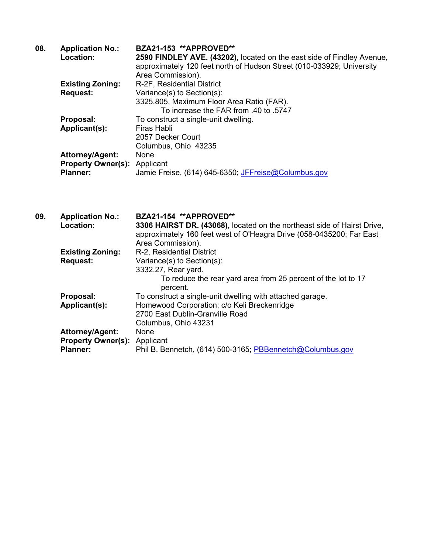| <b>Application No.:</b> | BZA21-153 **APPROVED**                                                                   |
|-------------------------|------------------------------------------------------------------------------------------|
| Location:               | 2590 FINDLEY AVE. (43202), located on the east side of Findley Avenue,                   |
|                         | approximately 120 feet north of Hudson Street (010-033929; University                    |
|                         | Area Commission).                                                                        |
|                         | R-2F, Residential District                                                               |
| <b>Request:</b>         | Variance(s) to Section(s):                                                               |
|                         | 3325.805, Maximum Floor Area Ratio (FAR).                                                |
|                         | To increase the FAR from .40 to .5747                                                    |
| Proposal:               | To construct a single-unit dwelling.                                                     |
| Applicant(s):           | Firas Habli                                                                              |
|                         | 2057 Decker Court                                                                        |
|                         | Columbus, Ohio 43235                                                                     |
|                         | None                                                                                     |
|                         |                                                                                          |
| <b>Planner:</b>         | Jamie Freise, (614) 645-6350; JFFreise@Columbus.gov                                      |
|                         | <b>Existing Zoning:</b><br><b>Attorney/Agent:</b><br><b>Property Owner(s): Applicant</b> |

| 09. | <b>Application No.:</b>             | BZA21-154 **APPROVED**                                                  |
|-----|-------------------------------------|-------------------------------------------------------------------------|
|     | Location:                           | 3306 HAIRST DR. (43068), located on the northeast side of Hairst Drive, |
|     |                                     | approximately 160 feet west of O'Heagra Drive (058-0435200; Far East    |
|     |                                     | Area Commission).                                                       |
|     | <b>Existing Zoning:</b>             | R-2, Residential District                                               |
|     | <b>Request:</b>                     | Variance(s) to Section(s):                                              |
|     |                                     | 3332.27, Rear yard.                                                     |
|     |                                     | To reduce the rear yard area from 25 percent of the lot to 17           |
|     |                                     | percent.                                                                |
|     | Proposal:                           | To construct a single-unit dwelling with attached garage.               |
|     | Applicant(s):                       | Homewood Corporation; c/o Keli Breckenridge                             |
|     |                                     | 2700 East Dublin-Granville Road                                         |
|     |                                     | Columbus, Ohio 43231                                                    |
|     | <b>Attorney/Agent:</b>              | None                                                                    |
|     | <b>Property Owner(s): Applicant</b> |                                                                         |
|     | <b>Planner:</b>                     | Phil B. Bennetch, (614) 500-3165; PBBennetch@Columbus.gov               |
|     |                                     |                                                                         |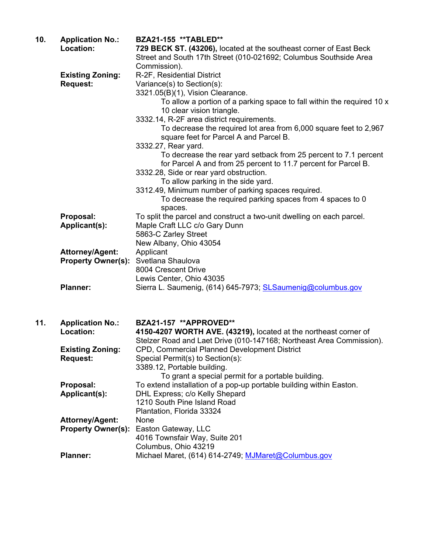| 10. | <b>Application No.:</b>                             | BZA21-155 **TABLED**                                                                                                                    |
|-----|-----------------------------------------------------|-----------------------------------------------------------------------------------------------------------------------------------------|
|     | Location:                                           | 729 BECK ST. (43206), located at the southeast corner of East Beck<br>Street and South 17th Street (010-021692; Columbus Southside Area |
|     |                                                     | Commission).                                                                                                                            |
|     | <b>Existing Zoning:</b>                             | R-2F, Residential District                                                                                                              |
|     | <b>Request:</b>                                     | Variance(s) to Section(s):                                                                                                              |
|     |                                                     | 3321.05(B)(1), Vision Clearance.                                                                                                        |
|     |                                                     | To allow a portion of a parking space to fall within the required 10 x                                                                  |
|     |                                                     | 10 clear vision triangle.                                                                                                               |
|     |                                                     | 3332.14, R-2F area district requirements.                                                                                               |
|     |                                                     | To decrease the required lot area from 6,000 square feet to 2,967                                                                       |
|     |                                                     | square feet for Parcel A and Parcel B.                                                                                                  |
|     |                                                     | 3332.27, Rear yard.                                                                                                                     |
|     |                                                     | To decrease the rear yard setback from 25 percent to 7.1 percent<br>for Parcel A and from 25 percent to 11.7 percent for Parcel B.      |
|     |                                                     | 3332.28, Side or rear yard obstruction.                                                                                                 |
|     |                                                     | To allow parking in the side yard.                                                                                                      |
|     |                                                     | 3312.49, Minimum number of parking spaces required.                                                                                     |
|     |                                                     | To decrease the required parking spaces from 4 spaces to 0                                                                              |
|     |                                                     | spaces.                                                                                                                                 |
|     | Proposal:                                           | To split the parcel and construct a two-unit dwelling on each parcel.                                                                   |
|     | Applicant(s):                                       | Maple Craft LLC c/o Gary Dunn                                                                                                           |
|     |                                                     | 5863-C Zarley Street                                                                                                                    |
|     |                                                     | New Albany, Ohio 43054                                                                                                                  |
|     | <b>Attorney/Agent:</b><br><b>Property Owner(s):</b> | Applicant<br>Svetlana Shaulova                                                                                                          |
|     |                                                     | 8004 Crescent Drive                                                                                                                     |
|     |                                                     | Lewis Center, Ohio 43035                                                                                                                |
|     | <b>Planner:</b>                                     | Sierra L. Saumenig, (614) 645-7973; SLSaumenig@columbus.gov                                                                             |
|     |                                                     |                                                                                                                                         |
|     |                                                     |                                                                                                                                         |
| 11. | <b>Application No.:</b>                             | BZA21-157 **APPROVED**                                                                                                                  |
|     | Location:                                           | 4150-4207 WORTH AVE. (43219), located at the northeast corner of                                                                        |
|     |                                                     | Stelzer Road and Laet Drive (010-147168; Northeast Area Commission).                                                                    |
|     | <b>Existing Zoning:</b>                             | CPD, Commercial Planned Development District                                                                                            |
|     | <b>Request:</b>                                     | Special Permit(s) to Section(s):                                                                                                        |
|     |                                                     | 3389.12, Portable building.                                                                                                             |
|     |                                                     | To grant a special permit for a portable building.                                                                                      |
|     | Proposal:                                           | To extend installation of a pop-up portable building within Easton.                                                                     |
|     | Applicant(s):                                       | DHL Express; c/o Kelly Shepard                                                                                                          |
|     |                                                     | 1210 South Pine Island Road                                                                                                             |
|     | <b>Attorney/Agent:</b>                              | Plantation, Florida 33324<br>None                                                                                                       |
|     | <b>Property Owner(s):</b>                           | Easton Gateway, LLC                                                                                                                     |
|     |                                                     | 4016 Townsfair Way, Suite 201                                                                                                           |
|     |                                                     | Columbus, Ohio 43219                                                                                                                    |
|     | <b>Planner:</b>                                     | Michael Maret, (614) 614-2749; MJMaret@Columbus.gov                                                                                     |
|     |                                                     |                                                                                                                                         |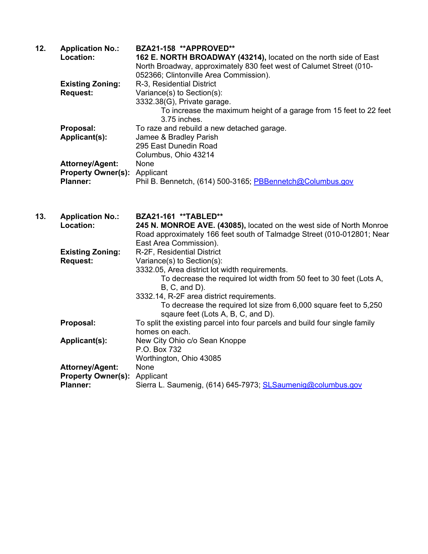| 12. | <b>Application No.:</b>             | BZA21-158 **APPROVED**                                              |
|-----|-------------------------------------|---------------------------------------------------------------------|
|     | Location:                           | 162 E. NORTH BROADWAY (43214), located on the north side of East    |
|     |                                     | North Broadway, approximately 830 feet west of Calumet Street (010- |
|     |                                     | 052366; Clintonville Area Commission).                              |
|     | <b>Existing Zoning:</b>             | R-3, Residential District                                           |
|     | <b>Request:</b>                     | Variance(s) to Section(s):                                          |
|     |                                     | 3332.38(G), Private garage.                                         |
|     |                                     | To increase the maximum height of a garage from 15 feet to 22 feet  |
|     |                                     | 3.75 inches.                                                        |
|     | Proposal:                           | To raze and rebuild a new detached garage.                          |
|     | Applicant(s):                       | Jamee & Bradley Parish                                              |
|     |                                     | 295 East Dunedin Road                                               |
|     |                                     | Columbus, Ohio 43214                                                |
|     | <b>Attorney/Agent:</b>              | None                                                                |
|     | <b>Property Owner(s): Applicant</b> |                                                                     |
|     | <b>Planner:</b>                     | Phil B. Bennetch, (614) 500-3165; PBBennetch@Columbus.gov           |
|     |                                     |                                                                     |

| 13. | <b>Application No.:</b><br>Location: | BZA21-161 **TABLED**<br>245 N. MONROE AVE. (43085), located on the west side of North Monroe<br>Road approximately 166 feet south of Talmadge Street (010-012801; Near<br>East Area Commission). |
|-----|--------------------------------------|--------------------------------------------------------------------------------------------------------------------------------------------------------------------------------------------------|
|     | <b>Existing Zoning:</b>              | R-2F, Residential District                                                                                                                                                                       |
|     | <b>Request:</b>                      | Variance(s) to Section(s):                                                                                                                                                                       |
|     |                                      | 3332.05, Area district lot width requirements.                                                                                                                                                   |
|     |                                      | To decrease the required lot width from 50 feet to 30 feet (Lots A,<br>$B, C, and D$ ).                                                                                                          |
|     |                                      | 3332.14, R-2F area district requirements.                                                                                                                                                        |
|     |                                      | To decrease the required lot size from 6,000 square feet to 5,250<br>sqaure feet (Lots A, B, C, and D).                                                                                          |
|     | Proposal:                            | To split the existing parcel into four parcels and build four single family<br>homes on each.                                                                                                    |
|     | Applicant(s):                        | New City Ohio c/o Sean Knoppe                                                                                                                                                                    |
|     |                                      | P.O. Box 732                                                                                                                                                                                     |
|     |                                      | Worthington, Ohio 43085                                                                                                                                                                          |
|     | <b>Attorney/Agent:</b>               | None                                                                                                                                                                                             |
|     | <b>Property Owner(s): Applicant</b>  |                                                                                                                                                                                                  |
|     | <b>Planner:</b>                      | Sierra L. Saumenig, (614) 645-7973; SLSaumenig@columbus.gov                                                                                                                                      |